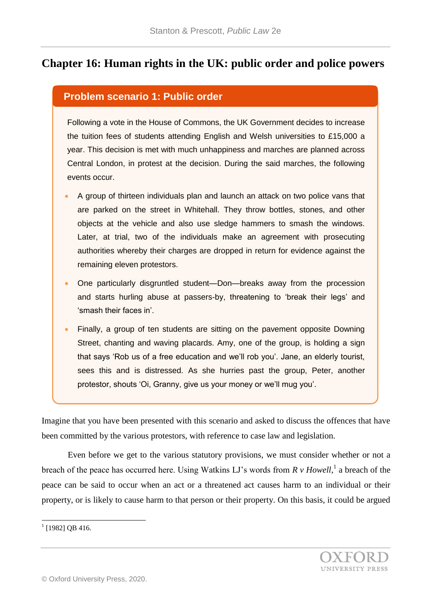# **Chapter 16: Human rights in the UK: public order and police powers**

#### **Problem scenario 1: Public order**

Following a vote in the House of Commons, the UK Government decides to increase the tuition fees of students attending English and Welsh universities to £15,000 a year. This decision is met with much unhappiness and marches are planned across Central London, in protest at the decision. During the said marches, the following events occur.

- A group of thirteen individuals plan and launch an attack on two police vans that are parked on the street in Whitehall. They throw bottles, stones, and other objects at the vehicle and also use sledge hammers to smash the windows. Later, at trial, two of the individuals make an agreement with prosecuting authorities whereby their charges are dropped in return for evidence against the remaining eleven protestors.
- One particularly disgruntled student—Don—breaks away from the procession and starts hurling abuse at passers-by, threatening to 'break their legs' and 'smash their faces in'.
- Finally, a group of ten students are sitting on the pavement opposite Downing Street, chanting and waving placards. Amy, one of the group, is holding a sign that says 'Rob us of a free education and we'll rob you'. Jane, an elderly tourist, sees this and is distressed. As she hurries past the group, Peter, another protestor, shouts 'Oi, Granny, give us your money or we'll mug you'.

Imagine that you have been presented with this scenario and asked to discuss the offences that have been committed by the various protestors, with reference to case law and legislation.

Even before we get to the various statutory provisions, we must consider whether or not a breach of the peace has occurred here. Using Watkins LJ's words from  $R v$  Howell,<sup>1</sup> a breach of the peace can be said to occur when an act or a threatened act causes harm to an individual or their property, or is likely to cause harm to that person or their property. On this basis, it could be argued

<sup>&</sup>lt;sup>1</sup> [1982] QB 416.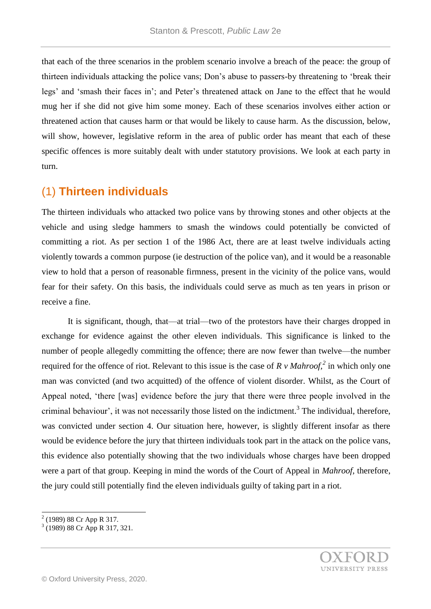that each of the three scenarios in the problem scenario involve a breach of the peace: the group of thirteen individuals attacking the police vans; Don's abuse to passers-by threatening to 'break their legs' and 'smash their faces in'; and Peter's threatened attack on Jane to the effect that he would mug her if she did not give him some money. Each of these scenarios involves either action or threatened action that causes harm or that would be likely to cause harm. As the discussion, below, will show, however, legislative reform in the area of public order has meant that each of these specific offences is more suitably dealt with under statutory provisions. We look at each party in turn.

#### (1) **Thirteen individuals**

The thirteen individuals who attacked two police vans by throwing stones and other objects at the vehicle and using sledge hammers to smash the windows could potentially be convicted of committing a riot. As per section 1 of the 1986 Act, there are at least twelve individuals acting violently towards a common purpose (ie destruction of the police van), and it would be a reasonable view to hold that a person of reasonable firmness, present in the vicinity of the police vans, would fear for their safety. On this basis, the individuals could serve as much as ten years in prison or receive a fine.

It is significant, though, that—at trial—two of the protestors have their charges dropped in exchange for evidence against the other eleven individuals. This significance is linked to the number of people allegedly committing the offence; there are now fewer than twelve—the number required for the offence of riot. Relevant to this issue is the case of *R v Mahroof,<sup>2</sup>* in which only one man was convicted (and two acquitted) of the offence of violent disorder. Whilst, as the Court of Appeal noted, 'there [was] evidence before the jury that there were three people involved in the criminal behaviour', it was not necessarily those listed on the indictment.<sup>3</sup> The individual, therefore, was convicted under section 4. Our situation here, however, is slightly different insofar as there would be evidence before the jury that thirteen individuals took part in the attack on the police vans, this evidence also potentially showing that the two individuals whose charges have been dropped were a part of that group. Keeping in mind the words of the Court of Appeal in *Mahroof*, therefore, the jury could still potentially find the eleven individuals guilty of taking part in a riot.

<sup>&</sup>lt;sup>2</sup> (1989) 88 Cr App R 317.<br><sup>3</sup> (1989) 88 Cr App R 317, 321.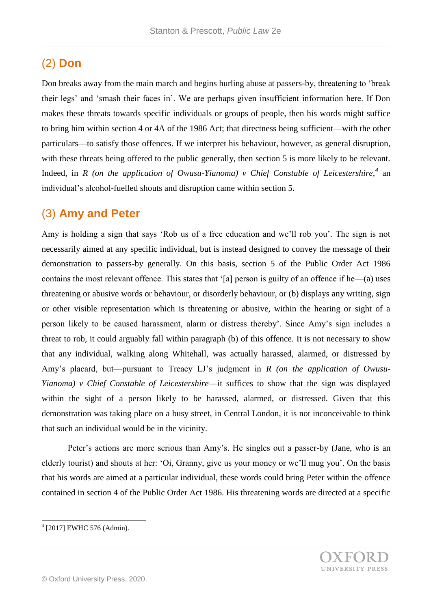# (2) **Don**

Don breaks away from the main march and begins hurling abuse at passers-by, threatening to 'break their legs' and 'smash their faces in'. We are perhaps given insufficient information here. If Don makes these threats towards specific individuals or groups of people, then his words might suffice to bring him within section 4 or 4A of the 1986 Act; that directness being sufficient—with the other particulars—to satisfy those offences. If we interpret his behaviour, however, as general disruption, with these threats being offered to the public generally, then section 5 is more likely to be relevant. Indeed, in *R* (on the application of Owusu-Yianoma) v Chief Constable of Leicestershire,<sup>4</sup> an individual's alcohol-fuelled shouts and disruption came within section 5.

### (3) **Amy and Peter**

Amy is holding a sign that says 'Rob us of a free education and we'll rob you'. The sign is not necessarily aimed at any specific individual, but is instead designed to convey the message of their demonstration to passers-by generally. On this basis, section 5 of the Public Order Act 1986 contains the most relevant offence. This states that '[a] person is guilty of an offence if he—(a) uses threatening or abusive words or behaviour, or disorderly behaviour, or (b) displays any writing, sign or other visible representation which is threatening or abusive, within the hearing or sight of a person likely to be caused harassment, alarm or distress thereby'. Since Amy's sign includes a threat to rob, it could arguably fall within paragraph (b) of this offence. It is not necessary to show that any individual, walking along Whitehall, was actually harassed, alarmed, or distressed by Amy's placard, but—pursuant to Treacy LJ's judgment in *R (on the application of Owusu-Yianoma) v Chief Constable of Leicestershire*—it suffices to show that the sign was displayed within the sight of a person likely to be harassed, alarmed, or distressed. Given that this demonstration was taking place on a busy street, in Central London, it is not inconceivable to think that such an individual would be in the vicinity.

Peter's actions are more serious than Amy's. He singles out a passer-by (Jane, who is an elderly tourist) and shouts at her: 'Oi, Granny, give us your money or we'll mug you'. On the basis that his words are aimed at a particular individual, these words could bring Peter within the offence contained in section 4 of the Public Order Act 1986. His threatening words are directed at a specific



 4 [2017] EWHC 576 (Admin).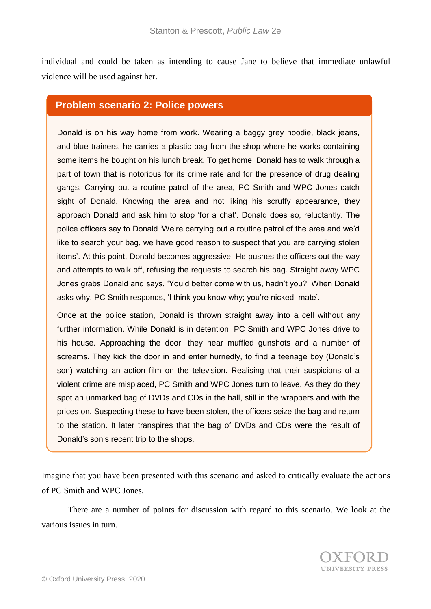individual and could be taken as intending to cause Jane to believe that immediate unlawful violence will be used against her.

#### **Problem scenario 2: Police powers**

Donald is on his way home from work. Wearing a baggy grey hoodie, black jeans, and blue trainers, he carries a plastic bag from the shop where he works containing some items he bought on his lunch break. To get home, Donald has to walk through a part of town that is notorious for its crime rate and for the presence of drug dealing gangs. Carrying out a routine patrol of the area, PC Smith and WPC Jones catch sight of Donald. Knowing the area and not liking his scruffy appearance, they approach Donald and ask him to stop 'for a chat'. Donald does so, reluctantly. The police officers say to Donald 'We're carrying out a routine patrol of the area and we'd like to search your bag, we have good reason to suspect that you are carrying stolen items'. At this point, Donald becomes aggressive. He pushes the officers out the way and attempts to walk off, refusing the requests to search his bag. Straight away WPC Jones grabs Donald and says, 'You'd better come with us, hadn't you?' When Donald asks why, PC Smith responds, 'I think you know why; you're nicked, mate'.

Once at the police station, Donald is thrown straight away into a cell without any further information. While Donald is in detention, PC Smith and WPC Jones drive to his house. Approaching the door, they hear muffled gunshots and a number of screams. They kick the door in and enter hurriedly, to find a teenage boy (Donald's son) watching an action film on the television. Realising that their suspicions of a violent crime are misplaced, PC Smith and WPC Jones turn to leave. As they do they spot an unmarked bag of DVDs and CDs in the hall, still in the wrappers and with the prices on. Suspecting these to have been stolen, the officers seize the bag and return to the station. It later transpires that the bag of DVDs and CDs were the result of Donald's son's recent trip to the shops.

Imagine that you have been presented with this scenario and asked to critically evaluate the actions of PC Smith and WPC Jones.

There are a number of points for discussion with regard to this scenario. We look at the various issues in turn.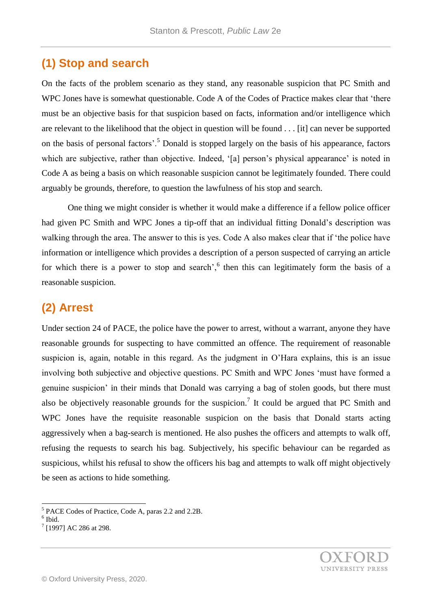## **(1) Stop and search**

On the facts of the problem scenario as they stand, any reasonable suspicion that PC Smith and WPC Jones have is somewhat questionable. Code A of the Codes of Practice makes clear that 'there must be an objective basis for that suspicion based on facts, information and/or intelligence which are relevant to the likelihood that the object in question will be found . . . [it] can never be supported on the basis of personal factors'.<sup>5</sup> Donald is stopped largely on the basis of his appearance, factors which are subjective, rather than objective. Indeed, '[a] person's physical appearance' is noted in Code A as being a basis on which reasonable suspicion cannot be legitimately founded. There could arguably be grounds, therefore, to question the lawfulness of his stop and search.

One thing we might consider is whether it would make a difference if a fellow police officer had given PC Smith and WPC Jones a tip-off that an individual fitting Donald's description was walking through the area. The answer to this is yes. Code A also makes clear that if 'the police have information or intelligence which provides a description of a person suspected of carrying an article for which there is a power to stop and search<sup> $,6$ </sup> then this can legitimately form the basis of a reasonable suspicion.

# **(2) Arrest**

Under section 24 of PACE, the police have the power to arrest, without a warrant, anyone they have reasonable grounds for suspecting to have committed an offence. The requirement of reasonable suspicion is, again, notable in this regard. As the judgment in O'Hara explains, this is an issue involving both subjective and objective questions. PC Smith and WPC Jones 'must have formed a genuine suspicion' in their minds that Donald was carrying a bag of stolen goods, but there must also be objectively reasonable grounds for the suspicion.<sup>7</sup> It could be argued that PC Smith and WPC Jones have the requisite reasonable suspicion on the basis that Donald starts acting aggressively when a bag-search is mentioned. He also pushes the officers and attempts to walk off, refusing the requests to search his bag. Subjectively, his specific behaviour can be regarded as suspicious, whilst his refusal to show the officers his bag and attempts to walk off might objectively be seen as actions to hide something.

 5 PACE Codes of Practice, Code A, paras 2.2 and 2.2B.

 $<sup>6</sup>$  Ibid.</sup>

<sup>&</sup>lt;sup>7</sup> [1997] AC 286 at 298.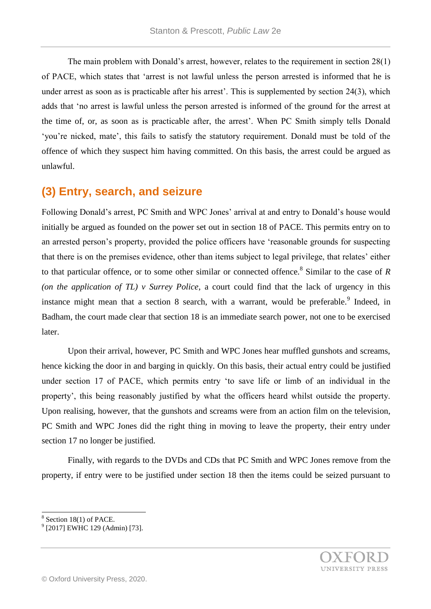The main problem with Donald's arrest, however, relates to the requirement in section 28(1) of PACE, which states that 'arrest is not lawful unless the person arrested is informed that he is under arrest as soon as is practicable after his arrest'. This is supplemented by section 24(3), which adds that 'no arrest is lawful unless the person arrested is informed of the ground for the arrest at the time of, or, as soon as is practicable after, the arrest'. When PC Smith simply tells Donald 'you're nicked, mate', this fails to satisfy the statutory requirement. Donald must be told of the offence of which they suspect him having committed. On this basis, the arrest could be argued as unlawful.

### **(3) Entry, search, and seizure**

Following Donald's arrest, PC Smith and WPC Jones' arrival at and entry to Donald's house would initially be argued as founded on the power set out in section 18 of PACE. This permits entry on to an arrested person's property, provided the police officers have 'reasonable grounds for suspecting that there is on the premises evidence, other than items subject to legal privilege, that relates' either to that particular offence, or to some other similar or connected offence.<sup>8</sup> Similar to the case of *R (on the application of TL) v Surrey Police*, a court could find that the lack of urgency in this instance might mean that a section 8 search, with a warrant, would be preferable. Indeed, in Badham, the court made clear that section 18 is an immediate search power, not one to be exercised later.

Upon their arrival, however, PC Smith and WPC Jones hear muffled gunshots and screams, hence kicking the door in and barging in quickly. On this basis, their actual entry could be justified under section 17 of PACE, which permits entry 'to save life or limb of an individual in the property', this being reasonably justified by what the officers heard whilst outside the property. Upon realising, however, that the gunshots and screams were from an action film on the television, PC Smith and WPC Jones did the right thing in moving to leave the property, their entry under section 17 no longer be justified.

Finally, with regards to the DVDs and CDs that PC Smith and WPC Jones remove from the property, if entry were to be justified under section 18 then the items could be seized pursuant to

l



 $8$  Section 18(1) of PACE.

<sup>&</sup>lt;sup>9</sup> [2017] EWHC 129 (Admin) [73].